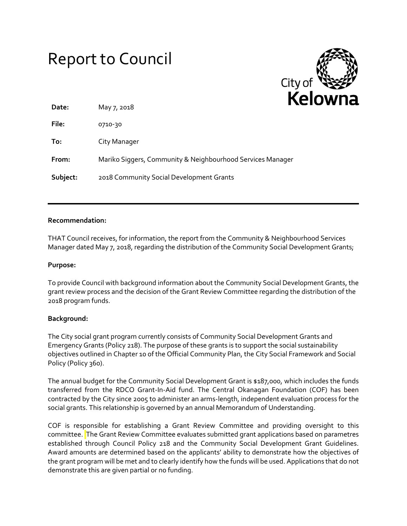# Report to Council



| Date:    | May 7, 2018                                                |
|----------|------------------------------------------------------------|
| File:    | 0710-30                                                    |
| To:      | City Manager                                               |
| From:    | Mariko Siggers, Community & Neighbourhood Services Manager |
| Subject: | 2018 Community Social Development Grants                   |

## **Recommendation:**

THAT Council receives, for information, the report from the Community & Neighbourhood Services Manager dated May 7, 2018, regarding the distribution of the Community Social Development Grants;

## **Purpose:**

To provide Council with background information about the Community Social Development Grants, the grant review process and the decision of the Grant Review Committee regarding the distribution of the 2018 program funds.

# **Background:**

The City social grant program currently consists of Community Social Development Grants and Emergency Grants (Policy 218). The purpose of these grants is to support the social sustainability objectives outlined in Chapter 10 of the Official Community Plan, the City Social Framework and Social Policy (Policy 360).

The annual budget for the Community Social Development Grant is \$187,000, which includes the funds transferred from the RDCO Grant-In-Aid fund. The Central Okanagan Foundation (COF) has been contracted by the City since 2005 to administer an arms-length, independent evaluation process for the social grants. This relationship is governed by an annual Memorandum of Understanding.

COF is responsible for establishing a Grant Review Committee and providing oversight to this committee. The Grant Review Committee evaluates submitted grant applications based on parametres established through Council Policy 218 and the Community Social Development Grant Guidelines. Award amounts are determined based on the applicants' ability to demonstrate how the objectives of the grant program will be met and to clearly identify how the funds will be used. Applications that do not demonstrate this are given partial or no funding.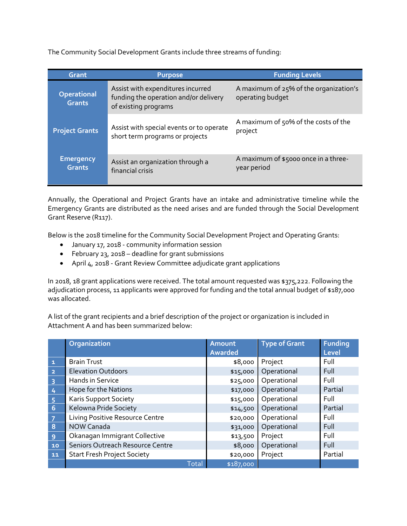The Community Social Development Grants include three streams of funding:

| Grant                               | <b>Purpose</b>                                                                                     | <b>Funding Levels</b>                                      |  |  |
|-------------------------------------|----------------------------------------------------------------------------------------------------|------------------------------------------------------------|--|--|
| <b>Operational</b><br><b>Grants</b> | Assist with expenditures incurred<br>funding the operation and/or delivery<br>of existing programs | A maximum of 25% of the organization's<br>operating budget |  |  |
| <b>Project Grants</b>               | Assist with special events or to operate<br>short term programs or projects                        | A maximum of 50% of the costs of the<br>project            |  |  |
| <b>Emergency</b><br><b>Grants</b>   | Assist an organization through a<br>financial crisis                                               | A maximum of \$5000 once in a three-<br>year period        |  |  |

Annually, the Operational and Project Grants have an intake and administrative timeline while the Emergency Grants are distributed as the need arises and are funded through the Social Development Grant Reserve (R117).

Below is the 2018 timeline for the Community Social Development Project and Operating Grants:

- January 17, 2018 community information session
- February 23, 2018 deadline for grant submissions
- April 4, 2018 Grant Review Committee adjudicate grant applications

In 2018, 18 grant applications were received. The total amount requested was \$375,222. Following the adjudication process, 11 applicants were approved for funding and the total annual budget of \$187,000 was allocated.

A list of the grant recipients and a brief description of the project or organization is included in Attachment A and has been summarized below:

|                         | Organization                       | Amount<br><b>Awarded</b> | <b>Type of Grant</b> | <b>Funding</b><br>Level |
|-------------------------|------------------------------------|--------------------------|----------------------|-------------------------|
| $\mathbf{1}$            | <b>Brain Trust</b>                 | \$8,000                  | Project              | Full                    |
| $\overline{2}$          | <b>Elevation Outdoors</b>          | \$15,000                 | Operational          | Full                    |
| $\overline{\mathbf{3}}$ | Hands in Service                   | \$25,000                 | Operational          | Full                    |
| 4                       | Hope for the Nations               | \$17,000                 | Operational          | Partial                 |
| $\overline{5}$          | <b>Karis Support Society</b>       | \$15,000                 | Operational          | Full                    |
| $\overline{6}$          | Kelowna Pride Society              | \$14,500                 | Operational          | Partial                 |
| $\overline{7}$          | Living Positive Resource Centre    | \$20,000                 | Operational          | Full                    |
| $\boldsymbol{8}$        | <b>NOW Canada</b>                  | \$31,000                 | Operational          | Full                    |
| 9                       | Okanagan Immigrant Collective      | \$13,500                 | Project              | Full                    |
| 10                      | Seniors Outreach Resource Centre   | \$8,000                  | Operational          | Full                    |
| 11                      | <b>Start Fresh Project Society</b> | \$20,000                 | Project              | Partial                 |
|                         | <b>Total</b>                       | \$187,000                |                      |                         |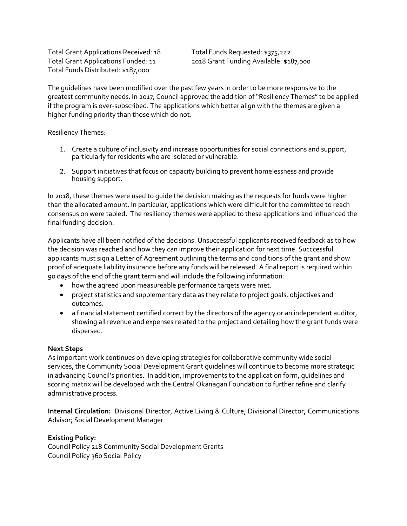Total Grant Applications Received: 18 Total Funds Requested: \$375,222 Total Funds Distributed: \$187,000

Total Grant Applications Funded: 11 2018 Grant Funding Available: \$187,000

The guidelines have been modified over the past few years in order to be more responsive to the greatest community needs. In 2017, Council approved the addition of "Resiliency Themes" to be applied if the program is over-subscribed. The applications which better align with the themes are given a higher funding priority than those which do not.

Resiliency Themes:

- 1. Create a culture of inclusivity and increase opportunities for social connections and support, particularly for residents who are isolated or vulnerable.
- 2. Support initiatives that focus on capacity building to prevent homelessness and provide housing support.

In 2018, these themes were used to guide the decision making as the requests for funds were higher than the allocated amount. In particular, applications which were difficult for the committee to reach consensus on were tabled. The resiliency themes were applied to these applications and influenced the final funding decision.

Applicants have all been notified of the decisions. Unsuccessful applicants received feedback as to how the decision was reached and how they can improve their application for next time. Succcessful applicants must sign a Letter of Agreement outlining the terms and conditions of the grant and show proof of adequate liability insurance before any funds will be released. A final report is required within 90 days of the end of the grant term and will include the following information:

- how the agreed upon measureable performance targets were met.
- project statistics and supplementary data as they relate to project goals, objectives and outcomes.
- a financial statement certified correct by the directors of the agency or an independent auditor, showing all revenue and expenses related to the project and detailing how the grant funds were dispersed.

#### **Next Steps**

As important work continues on developing strategies for collaborative community wide social services, the Community Social Development Grant guidelines will continue to become more strategic in advancing Council's priorities. In addition, improvements to the application form, guidelines and scoring matrix will be developed with the Central Okanagan Foundation to further refine and clarify administrative process.

**Internal Circulation:** Divisional Director, Active Living & Culture; Divisional Director; Communications Advisor; Social Development Manager

**Existing Policy:** Council Policy 218 Community Social Development Grants Council Policy 360 Social Policy